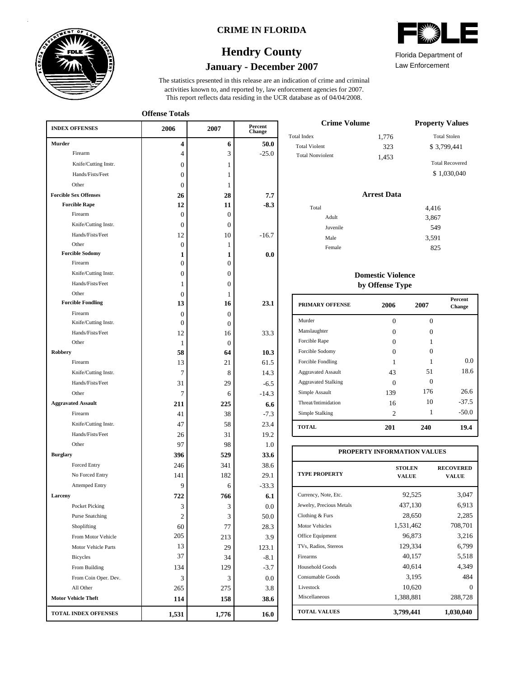

### **CRIME IN FLORIDA**

# **January - December 2007 Hendry County**

This report reflects data residing in the UCR database as of 04/04/2008. activities known to, and reported by, law enforcement agencies for 2007. The statistics presented in this release are an indication of crime and criminal

**Offense Totals**

| <b>INDEX OFFENSES</b>                    | 2006           | 2007           | Percent<br>Change |  |
|------------------------------------------|----------------|----------------|-------------------|--|
| Murder                                   | 4              | 6              | 50.0              |  |
| Firearm                                  | 4              | 3              | $-25.0$           |  |
| Knife/Cutting Instr.                     | $\Omega$       | 1              |                   |  |
| Hands/Fists/Feet                         | $\theta$       | 1              |                   |  |
| Other                                    | $\theta$       | 1              |                   |  |
| <b>Forcible Sex Offenses</b>             | 26             | 28             | 7.7               |  |
| <b>Forcible Rape</b>                     | 12             | 11             | $-8.3$            |  |
| Firearm                                  | $\Omega$       | $\Omega$       |                   |  |
| Knife/Cutting Instr.                     | $\Omega$       | $\Omega$       |                   |  |
| Hands/Fists/Feet                         | 12             | 10             | $-16.7$           |  |
| Other                                    | $\mathbf{0}$   | 1              |                   |  |
| <b>Forcible Sodomy</b>                   | 1              | 1              | 0.0               |  |
| Firearm                                  | $\mathbf{0}$   | $\theta$       |                   |  |
| Knife/Cutting Instr.                     | 0              | $\overline{0}$ |                   |  |
| Hands/Fists/Feet                         | 1              | $\theta$       |                   |  |
| Other                                    | $\Omega$       | 1              |                   |  |
| <b>Forcible Fondling</b>                 | 13             | 16             | 23.1              |  |
| Firearm                                  | 0              | $\mathbf{0}$   |                   |  |
| Knife/Cutting Instr.                     | 0              | $\Omega$       |                   |  |
| Hands/Fists/Feet                         | 12             | 16             | 33.3              |  |
| Other<br><b>Robbery</b>                  | 1              | $\Omega$       |                   |  |
| Firearm                                  | 58             | 64             | 10.3              |  |
|                                          | 13             | 21             | 61.5              |  |
| Knife/Cutting Instr.<br>Hands/Fists/Feet | 7              | 8              | 14.3              |  |
| Other                                    | 31             | 29             | $-6.5$            |  |
|                                          | 7              | 6              | $-14.3$           |  |
| <b>Aggravated Assault</b>                | 211            | 225            | 6.6               |  |
| Firearm                                  | 41             | 38             | $-7.3$            |  |
| Knife/Cutting Instr.<br>Hands/Fists/Feet | 47             | 58             | 23.4              |  |
| Other                                    | 26             | 31             | 19.2              |  |
|                                          | 97             | 98             | 1.0               |  |
| <b>Burglary</b>                          | 396            | 529            | 33.6              |  |
| Forced Entry                             | 246            | 341            | 38.6              |  |
| No Forced Entry                          | 141            | 182            | 29.1              |  |
| <b>Attemped Entry</b>                    | 9              | 6              | $-33.3$           |  |
| Larceny                                  | 722            | 766            | 6.1               |  |
| Pocket Picking                           | 3              | 3              | $0.0\,$           |  |
| <b>Purse Snatching</b>                   | $\overline{c}$ | 3              | 50.0              |  |
| Shoplifting                              | 60<br>205      | 77             | 28.3              |  |
| From Motor Vehicle                       |                | 213            | 3.9               |  |
| Motor Vehicle Parts                      | 13             | 29             | 123.1             |  |
| <b>Bicycles</b>                          | 37             | 34             | $-8.1$            |  |
| From Building                            | 134            | 129            | $-3.7$            |  |
| From Coin Oper. Dev.                     | 3              | 3              | $0.0\,$           |  |
| All Other                                | 265            | 275            | 3.8               |  |
| <b>Motor Vehicle Theft</b>               | 114            | 158            | 38.6              |  |
| <b>TOTAL INDEX OFFENSES</b>              | 1,531          | 1,776          | 16.0              |  |

| ◚<br>لاددتنا<br>∾<br>V |  |  |
|------------------------|--|--|
|                        |  |  |

Law Enforcement Florida Department of

| <b>Crime Volume</b>     |       | <b>Property Values</b> |
|-------------------------|-------|------------------------|
| Total Index             | 1,776 | <b>Total Stolen</b>    |
| <b>Total Violent</b>    | 323   | \$3,799,441            |
| <b>Total Nonviolent</b> | 1,453 |                        |
|                         |       | <b>Total Recovered</b> |
|                         |       | \$1,030,040            |

### **Arrest Data**

| Total |          | 4,416 |
|-------|----------|-------|
|       | Adult    | 3,867 |
|       | Juvenile | 549   |
|       | Male     | 3,591 |
|       | Female   | 825   |
|       |          |       |

### **Domestic Violence by Offense Type**

| 0<br>0<br>$\mathbf{a}$ | 0<br>0 |         |
|------------------------|--------|---------|
|                        |        |         |
|                        |        |         |
|                        |        |         |
| 0                      | 0      |         |
| 1                      |        | 0.0     |
| 43                     | 51     | 18.6    |
| 0                      | 0      |         |
| 139                    | 176    | 26.6    |
| 16                     | 10     | $-37.5$ |
| 2                      | 1      | $-50.0$ |
| 201                    | 240    | 19.4    |
|                        |        |         |

| PROPERTY INFORMATION VALUES |                               |                                  |  |  |  |  |
|-----------------------------|-------------------------------|----------------------------------|--|--|--|--|
| <b>TYPE PROPERTY</b>        | <b>STOLEN</b><br><b>VALUE</b> | <b>RECOVERED</b><br><b>VALUE</b> |  |  |  |  |
| Currency, Note, Etc.        | 92,525                        | 3,047                            |  |  |  |  |
| Jewelry, Precious Metals    | 437,130                       | 6.913                            |  |  |  |  |
| Clothing & Furs             | 28,650                        | 2,285                            |  |  |  |  |
| Motor Vehicles              | 1,531,462                     | 708,701                          |  |  |  |  |
| Office Equipment            | 96.873                        | 3,216                            |  |  |  |  |
| TVs, Radios, Stereos        | 129,334                       | 6,799                            |  |  |  |  |
| Firearms                    | 40,157                        | 5,518                            |  |  |  |  |
| Household Goods             | 40,614                        | 4,349                            |  |  |  |  |
| Consumable Goods            | 3,195                         | 484                              |  |  |  |  |
| Livestock                   | 10,620                        | 0                                |  |  |  |  |
| Miscellaneous               | 1,388,881                     | 288,728                          |  |  |  |  |
| <b>TOTAL VALUES</b>         | 3,799,441                     | 1,030,040                        |  |  |  |  |